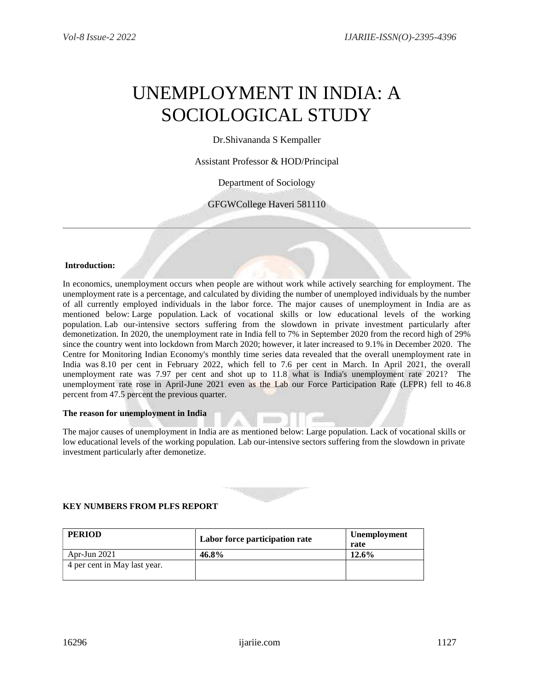# UNEMPLOYMENT IN INDIA: A SOCIOLOGICAL STUDY

Dr.Shivananda S Kempaller

Assistant Professor & HOD/Principal

Department of Sociology

GFGWCollege Haveri 581110

## **Introduction:**

In economics, unemployment occurs when people are without work while actively searching for employment. The unemployment rate is a percentage, and calculated by dividing the number of unemployed individuals by the number of all currently employed individuals in the labor force. The major causes of unemployment in India are as mentioned below: Large population. Lack of vocational skills or low educational levels of the working population. Lab our-intensive sectors suffering from the slowdown in private investment particularly after demonetization. In 2020, the unemployment rate in India fell to 7% in September 2020 from the record high of 29% since the country went into lockdown from March 2020; however, it later increased to 9.1% in December 2020. The Centre for Monitoring Indian Economy's monthly time series data revealed that the overall unemployment rate in India was 8.10 per cent in February 2022, which fell to 7.6 per cent in March. In April 2021, the overall unemployment rate was 7.97 per cent and shot up to 11.8 what is India's unemployment rate 2021? The unemployment rate rose in April-June 2021 even as the Lab our Force Participation Rate (LFPR) fell to 46.8 percent from 47.5 percent the previous quarter.

#### **The reason for unemployment in India**

The major causes of unemployment in India are as mentioned below: Large population. Lack of vocational skills or low educational levels of the working population. Lab our-intensive sectors suffering from the slowdown in private investment particularly after demonetize.



## **KEY NUMBERS FROM PLFS REPORT**

| <b>PERIOD</b>                | Labor force participation rate | <b>Unemployment</b><br>rate |
|------------------------------|--------------------------------|-----------------------------|
| Apr-Jun $2021$               | 46.8%                          | 12.6%                       |
| 4 per cent in May last year. |                                |                             |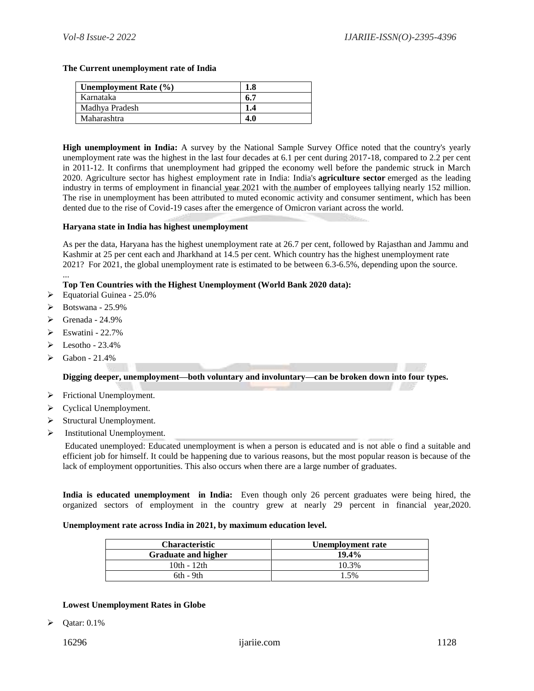#### **The Current unemployment rate of India**

| <b>Unemployment Rate (%)</b> |      |
|------------------------------|------|
| Karnataka                    | -6.7 |
| Madhya Pradesh               | 1.4  |
| Maharashtra                  | 4.0  |

**High unemployment in India:** A survey by the National Sample Survey Office noted that the country's yearly unemployment rate was the highest in the last four decades at 6.1 per cent during 2017**-**18, compared to 2.2 per cent in 2011-12. It confirms that unemployment had gripped the economy well before the pandemic struck in March 2020. Agriculture sector has highest employment rate in India: India's **agriculture sector** emerged as the leading industry in terms of employment in financial year 2021 with the number of employees tallying nearly 152 million. The rise in unemployment has been attributed to muted economic activity and consumer sentiment, which has been dented due to the rise of Covid-19 cases after the emergence of Omicron variant across the world.

#### **Haryana state in India has highest unemployment**

As per the data, Haryana has the highest unemployment rate at 26.7 per cent, followed by Rajasthan and Jammu and Kashmir at 25 per cent each and Jharkhand at 14.5 per cent. Which country has the highest unemployment rate 2021? For 2021, the global unemployment rate is estimated to be between 6.3-6.5%, depending upon the source. ...

## **Top Ten Countries with the Highest Unemployment (World Bank 2020 data):**

- $\blacktriangleright$  Equatorial Guinea 25.0%
- $\triangleright$  Botswana 25.9%
- $\triangleright$  Grenada 24.9%
- $\triangleright$  Eswatini 22.7%
- $\blacktriangleright$  Lesotho 23.4%
- $\triangleright$  Gabon 21.4%

**Digging deeper, unemployment—both voluntary and involuntary—can be broken down into four types.**

- $\triangleright$  Frictional Unemployment.
- > Cyclical Unemployment.
- $\triangleright$  Structural Unemployment.
- $\triangleright$  Institutional Unemployment.

Educated unemployed: Educated unemployment is when a person is educated and is not able o find a suitable and efficient job for himself. It could be happening due to various reasons, but the most popular reason is because of the lack of employment opportunities. This also occurs when there are a large number of graduates.

**India is educated unemployment in India:** Even though only 26 percent graduates were being hired, the organized sectors of employment in the country grew at nearly 29 percent in financial year,2020.

#### **Unemployment rate across India in 2021, by maximum education level.**

| Characteristic             | Unemployment rate |
|----------------------------|-------------------|
| <b>Graduate and higher</b> | $19.4\%$          |
| $10th - 12th$              | 10.3%             |
| 6th - 9th                  | 5%                |

#### **Lowest Unemployment Rates in Globe**

 $\triangleright$  Qatar: 0.1%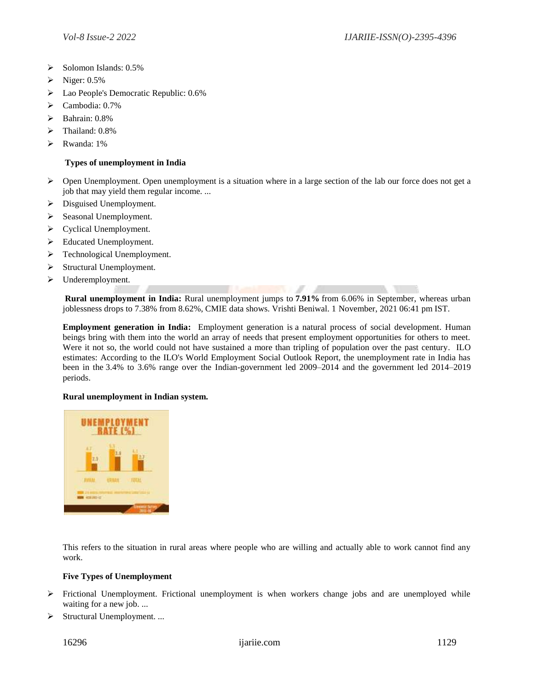- $\triangleright$  Solomon Islands: 0.5%
- $\triangleright$  Niger: 0.5%
- **Example 2** Lao People's Democratic Republic: 0.6%
- Cambodia: 0.7%
- $\triangleright$  Bahrain: 0.8%
- > Thailand:  $0.8\%$
- Rwanda: 1%

## **Types of unemployment in India**

- Open Unemployment. Open unemployment is a situation where in a large section of the lab our force does not get a job that may yield them regular income. ...
- $\triangleright$  Disguised Unemployment.
- Seasonal Unemployment.
- > Cyclical Unemployment.
- Educated Unemployment.
- > Technological Unemployment.
- $\triangleright$  Structural Unemployment.
- > Underemployment.

**Rural unemployment in India:** Rural unemployment jumps to **7.91%** from 6.06% in September, whereas urban joblessness drops to 7.38% from 8.62%, CMIE data shows. Vrishti Beniwal. 1 November, 2021 06:41 pm IST.

**Employment generation in India:** Employment generation is a natural process of social development. Human beings bring with them into the world an array of needs that present employment opportunities for others to meet. Were it not so, the world could not have sustained a more than tripling of population over the past century. ILO estimates: According to the ILO's World Employment Social Outlook Report, the unemployment rate in India has been in the 3.4% to 3.6% range over the Indian-government led 2009–2014 and the government led 2014–2019 periods.

## **Rural unemployment in Indian system.**



This refers to the situation in rural areas where people who are willing and actually able to work cannot find any work.

## **Five Types of Unemployment**

- $\triangleright$  Frictional Unemployment. Frictional unemployment is when workers change jobs and are unemployed while waiting for a new job. ...
- $\triangleright$  Structural Unemployment. ...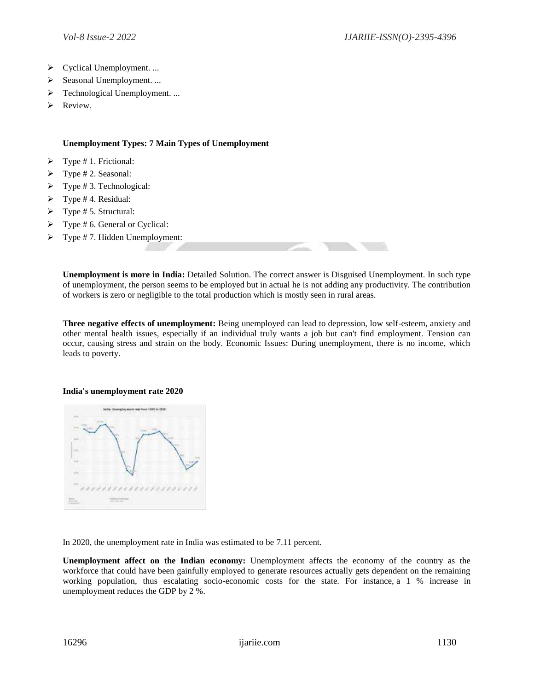- ▶ Cyclical Unemployment. ...
- $\triangleright$  Seasonal Unemployment. ...
- > Technological Unemployment. ...
- > Review.

# **Unemployment Types: 7 Main Types of Unemployment**

- $\triangleright$  Type # 1. Frictional:
- $\triangleright$  Type # 2. Seasonal:
- $\triangleright$  Type # 3. Technological:
- $\triangleright$  Type #4. Residual:
- $\triangleright$  Type # 5. Structural:
- $\triangleright$  Type # 6. General or Cyclical:
- $\triangleright$  Type #7. Hidden Unemployment:

**Unemployment is more in India:** Detailed Solution. The correct answer is Disguised Unemployment. In such type of unemployment, the person seems to be employed but in actual he is not adding any productivity. The contribution of workers is zero or negligible to the total production which is mostly seen in rural areas.

**Three negative effects of unemployment:** Being unemployed can lead to depression, low self-esteem, anxiety and other mental health issues, especially if an individual truly wants a job but can't find employment. Tension can occur, causing stress and strain on the body. Economic Issues: During unemployment, there is no income, which leads to poverty.

#### **India's unemployment rate 2020**



In 2020, the unemployment rate in India was estimated to be 7.11 percent.

**Unemployment affect on the Indian economy:** Unemployment affects the economy of the country as the workforce that could have been gainfully employed to generate resources actually gets dependent on the remaining working population, thus escalating socio-economic costs for the state. For instance, a 1 % increase in unemployment reduces the GDP by 2 %.